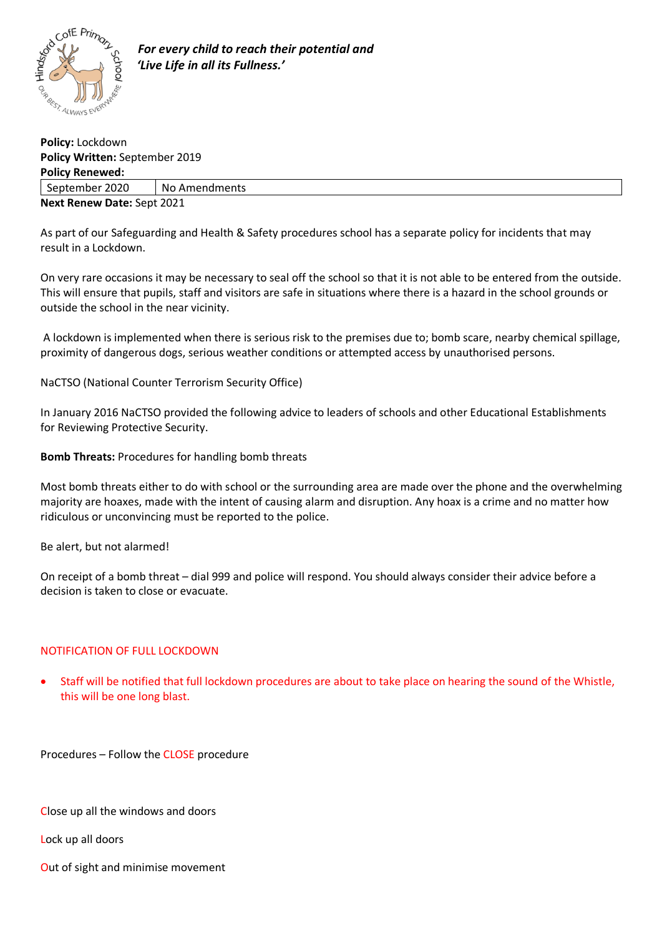

| Policy: Lockdown               |               |
|--------------------------------|---------------|
| Policy Written: September 2019 |               |
| <b>Policy Renewed:</b>         |               |
| September 2020                 | No Amendments |
| Next Renew Date: Sept 2021     |               |

As part of our Safeguarding and Health & Safety procedures school has a separate policy for incidents that may result in a Lockdown.

On very rare occasions it may be necessary to seal off the school so that it is not able to be entered from the outside. This will ensure that pupils, staff and visitors are safe in situations where there is a hazard in the school grounds or outside the school in the near vicinity.

A lockdown is implemented when there is serious risk to the premises due to; bomb scare, nearby chemical spillage, proximity of dangerous dogs, serious weather conditions or attempted access by unauthorised persons.

NaCTSO (National Counter Terrorism Security Office)

In January 2016 NaCTSO provided the following advice to leaders of schools and other Educational Establishments for Reviewing Protective Security.

**Bomb Threats:** Procedures for handling bomb threats

Most bomb threats either to do with school or the surrounding area are made over the phone and the overwhelming majority are hoaxes, made with the intent of causing alarm and disruption. Any hoax is a crime and no matter how ridiculous or unconvincing must be reported to the police.

Be alert, but not alarmed!

On receipt of a bomb threat – dial 999 and police will respond. You should always consider their advice before a decision is taken to close or evacuate.

## NOTIFICATION OF FULL LOCKDOWN

• Staff will be notified that full lockdown procedures are about to take place on hearing the sound of the Whistle, this will be one long blast.

Procedures – Follow the CLOSE procedure

Close up all the windows and doors

Lock up all doors

Out of sight and minimise movement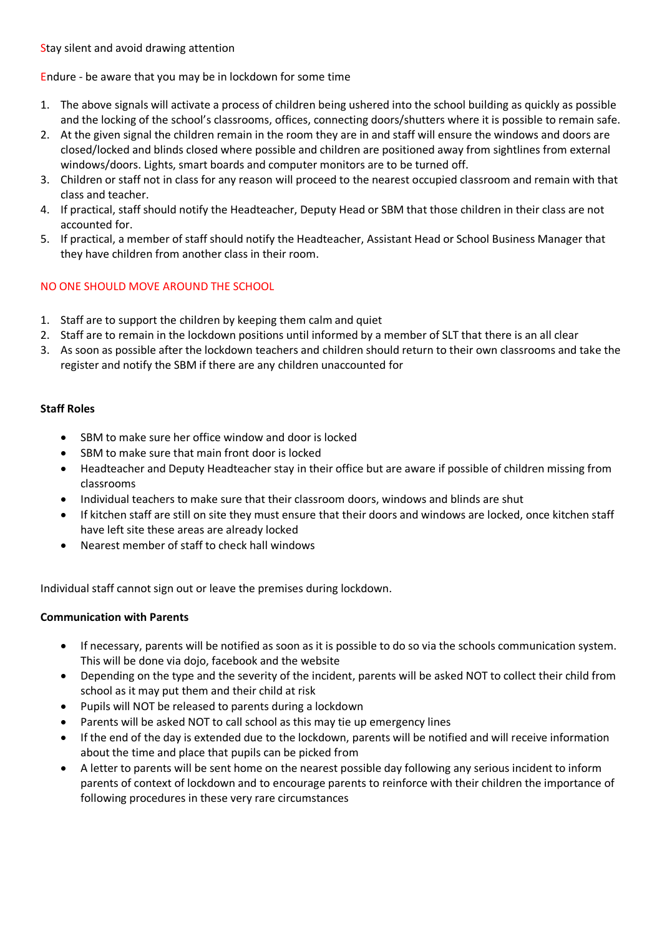Stay silent and avoid drawing attention

## Endure - be aware that you may be in lockdown for some time

- 1. The above signals will activate a process of children being ushered into the school building as quickly as possible and the locking of the school's classrooms, offices, connecting doors/shutters where it is possible to remain safe.
- 2. At the given signal the children remain in the room they are in and staff will ensure the windows and doors are closed/locked and blinds closed where possible and children are positioned away from sightlines from external windows/doors. Lights, smart boards and computer monitors are to be turned off.
- 3. Children or staff not in class for any reason will proceed to the nearest occupied classroom and remain with that class and teacher.
- 4. If practical, staff should notify the Headteacher, Deputy Head or SBM that those children in their class are not accounted for.
- 5. If practical, a member of staff should notify the Headteacher, Assistant Head or School Business Manager that they have children from another class in their room.

# NO ONE SHOULD MOVE AROUND THE SCHOOL

- 1. Staff are to support the children by keeping them calm and quiet
- 2. Staff are to remain in the lockdown positions until informed by a member of SLT that there is an all clear
- 3. As soon as possible after the lockdown teachers and children should return to their own classrooms and take the register and notify the SBM if there are any children unaccounted for

## **Staff Roles**

- SBM to make sure her office window and door is locked
- SBM to make sure that main front door is locked
- Headteacher and Deputy Headteacher stay in their office but are aware if possible of children missing from classrooms
- Individual teachers to make sure that their classroom doors, windows and blinds are shut
- If kitchen staff are still on site they must ensure that their doors and windows are locked, once kitchen staff have left site these areas are already locked
- Nearest member of staff to check hall windows

Individual staff cannot sign out or leave the premises during lockdown.

## **Communication with Parents**

- If necessary, parents will be notified as soon as it is possible to do so via the schools communication system. This will be done via dojo, facebook and the website
- Depending on the type and the severity of the incident, parents will be asked NOT to collect their child from school as it may put them and their child at risk
- Pupils will NOT be released to parents during a lockdown
- Parents will be asked NOT to call school as this may tie up emergency lines
- If the end of the day is extended due to the lockdown, parents will be notified and will receive information about the time and place that pupils can be picked from
- A letter to parents will be sent home on the nearest possible day following any serious incident to inform parents of context of lockdown and to encourage parents to reinforce with their children the importance of following procedures in these very rare circumstances